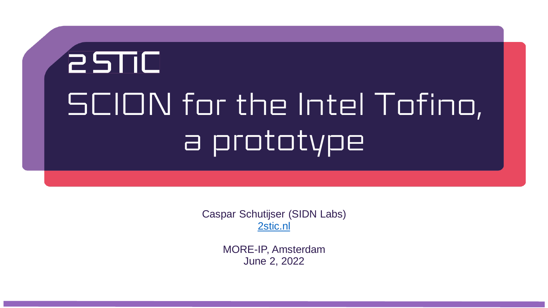## **BUTC** SCION for the Intel Tofino, a prototype

Caspar Schutijser (SIDN Labs) [2stic.nl](http://www.2stic.nl)

> MORE-IP, Amsterdam June 2, 2022

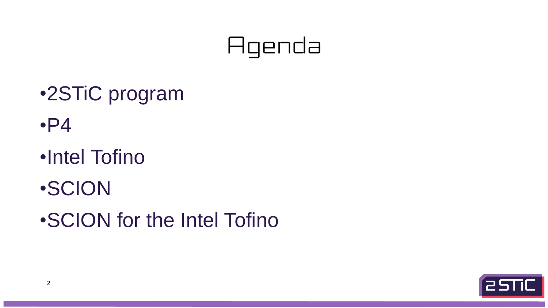## Agenda

<u>estic</u>





- •2STiC program
- •P4
- •Intel Tofino
- •SCION
- •SCION for the Intel Tofino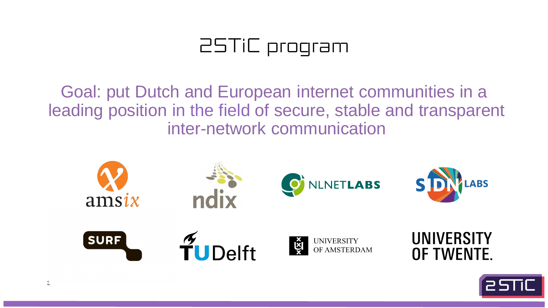### 25TiC program



Goal: put Dutch and European internet communities in a leading position in the field of secure, stable and transparent inter-network communication







**UNIVERSITY** OF AMSTERDAM

### UNIVERSITY OF TWENTE.

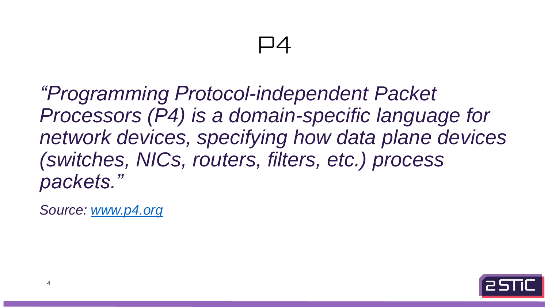## *Processors (P4) is a domain-specific language for network devices, specifying how data plane devices*



*"Programming Protocol-independent Packet (switches, NICs, routers, filters, etc.) process packets."*

*Source: [www.p4.org](http://www.p4.org)*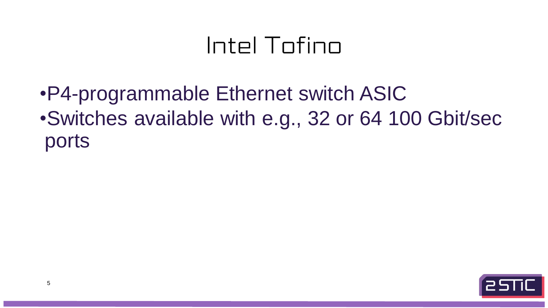### Intel Tofino

•P4-programmable Ethernet switch ASIC ports

## •Switches available with e.g., 32 or 64 100 Gbit/sec

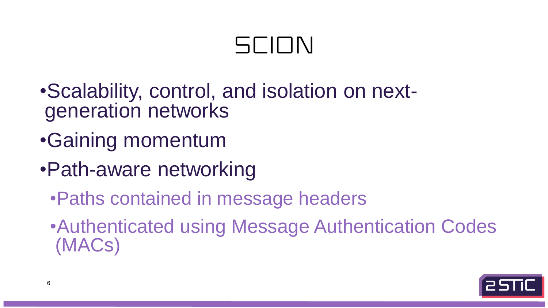## 5010N

- •Scalability, control, and isolation on nextgeneration networks
- •Gaining momentum
- •Path-aware networking
	- •Paths contained in message headers
	- (MACs)

## •Authenticated using Message Authentication Codes

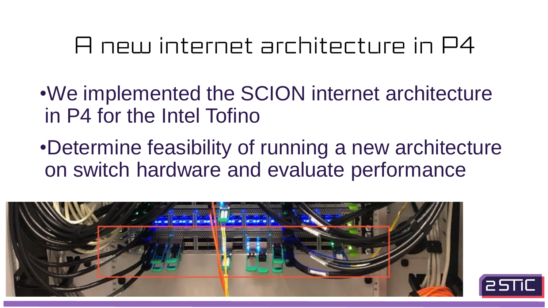

### A new internet architecture in P4

in P4 for the Intel Tofino

- •We implemented the SCION internet architecture
- •Determine feasibility of running a new architecture



on switch hardware and evaluate performance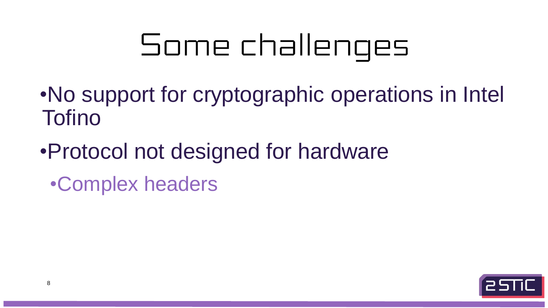•No support for cryptographic operations in Intel



## Some challenges

- Tofino
- •Protocol not designed for hardware •Complex headers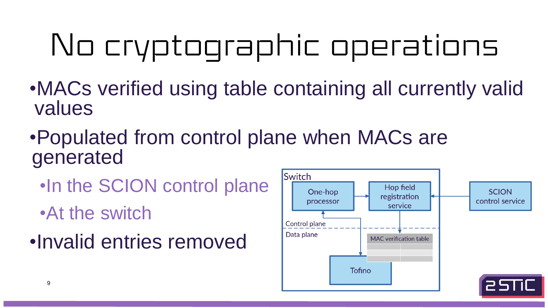



## No cryptographic operations •MACs verified using table containing all currently valid

- values
- •Populated from control plane when MACs are generated
	- •In the SCION control plane
	- •At the switch
- •Invalid entries removed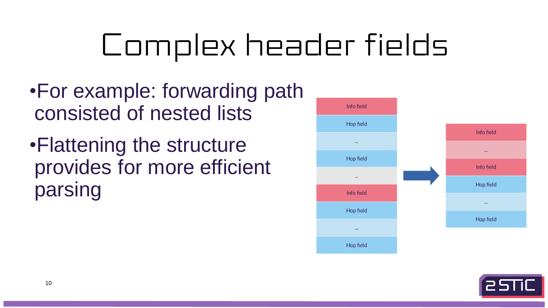## Complex header fields









- •For example: forwarding path consisted of nested lists
- •Flattening the structure provides for more efficient parsing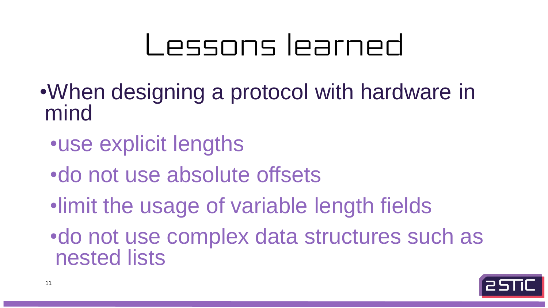

# Lessons learned

•When designing a protocol with hardware in mind •use explicit lengths •do not use absolute offsets •limit the usage of variable length fields •do not use complex data structures such as nested lists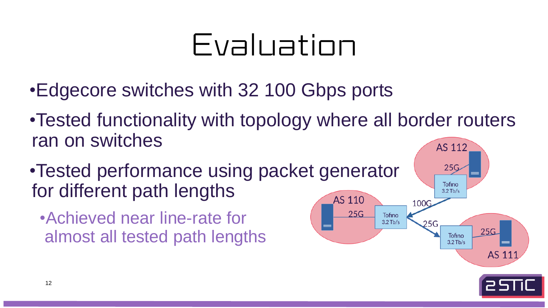

## Evaluation

- •Edgecore switches with 32 100 Gbps ports
- •Tested functionality with topology where all border routers ran on switches AS 112
- •Tested performance using packet generator for different path lengths
	- •Achieved near line-rate for almost all tested path lengths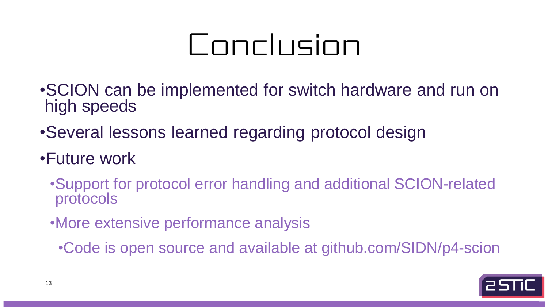

## Conclusion

- •SCION can be implemented for switch hardware and run on high speeds
- •Several lessons learned regarding protocol design
- •Future work
	- •Support for protocol error handling and additional SCION-related protocols
	- •More extensive performance analysis
		- •Code is open source and available at github.com/SIDN/p4-scion